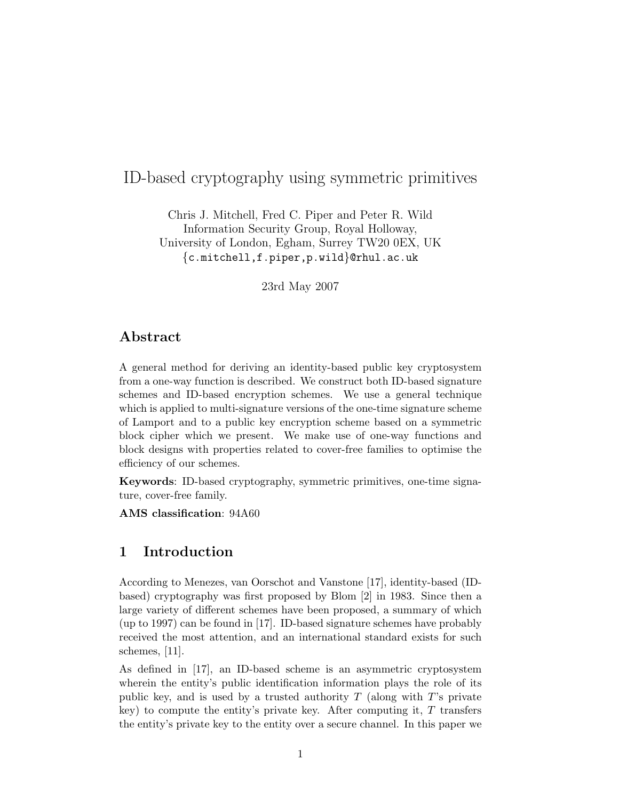# ID-based cryptography using symmetric primitives

Chris J. Mitchell, Fred C. Piper and Peter R. Wild Information Security Group, Royal Holloway, University of London, Egham, Surrey TW20 0EX, UK {c.mitchell,f.piper,p.wild}@rhul.ac.uk

23rd May 2007

## Abstract

A general method for deriving an identity-based public key cryptosystem from a one-way function is described. We construct both ID-based signature schemes and ID-based encryption schemes. We use a general technique which is applied to multi-signature versions of the one-time signature scheme of Lamport and to a public key encryption scheme based on a symmetric block cipher which we present. We make use of one-way functions and block designs with properties related to cover-free families to optimise the efficiency of our schemes.

Keywords: ID-based cryptography, symmetric primitives, one-time signature, cover-free family.

AMS classification: 94A60

## 1 Introduction

According to Menezes, van Oorschot and Vanstone [17], identity-based (IDbased) cryptography was first proposed by Blom [2] in 1983. Since then a large variety of different schemes have been proposed, a summary of which (up to 1997) can be found in [17]. ID-based signature schemes have probably received the most attention, and an international standard exists for such schemes, [11].

As defined in [17], an ID-based scheme is an asymmetric cryptosystem wherein the entity's public identification information plays the role of its public key, and is used by a trusted authority  $T$  (along with  $T$ 's private key) to compute the entity's private key. After computing it,  $T$  transfers the entity's private key to the entity over a secure channel. In this paper we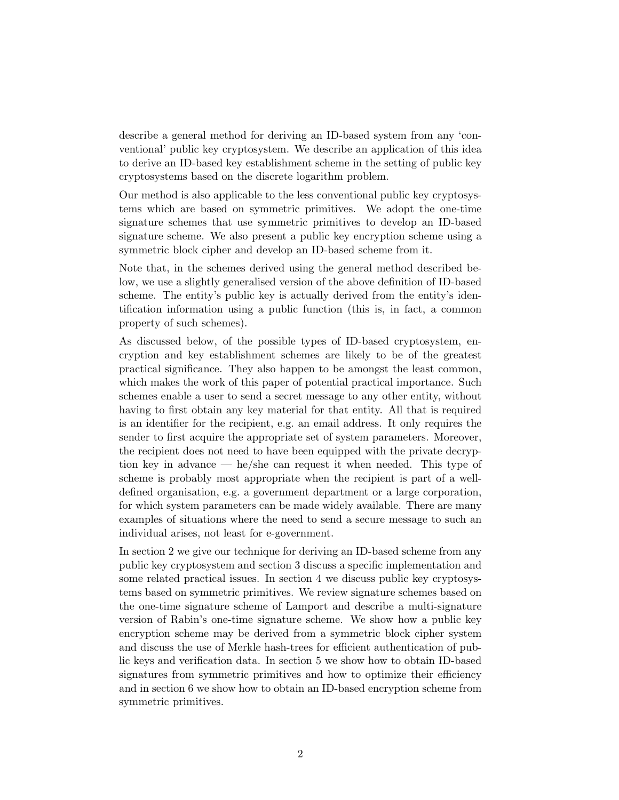describe a general method for deriving an ID-based system from any 'conventional' public key cryptosystem. We describe an application of this idea to derive an ID-based key establishment scheme in the setting of public key cryptosystems based on the discrete logarithm problem.

Our method is also applicable to the less conventional public key cryptosystems which are based on symmetric primitives. We adopt the one-time signature schemes that use symmetric primitives to develop an ID-based signature scheme. We also present a public key encryption scheme using a symmetric block cipher and develop an ID-based scheme from it.

Note that, in the schemes derived using the general method described below, we use a slightly generalised version of the above definition of ID-based scheme. The entity's public key is actually derived from the entity's identification information using a public function (this is, in fact, a common property of such schemes).

As discussed below, of the possible types of ID-based cryptosystem, encryption and key establishment schemes are likely to be of the greatest practical significance. They also happen to be amongst the least common, which makes the work of this paper of potential practical importance. Such schemes enable a user to send a secret message to any other entity, without having to first obtain any key material for that entity. All that is required is an identifier for the recipient, e.g. an email address. It only requires the sender to first acquire the appropriate set of system parameters. Moreover, the recipient does not need to have been equipped with the private decryption key in advance — he/she can request it when needed. This type of scheme is probably most appropriate when the recipient is part of a welldefined organisation, e.g. a government department or a large corporation, for which system parameters can be made widely available. There are many examples of situations where the need to send a secure message to such an individual arises, not least for e-government.

In section 2 we give our technique for deriving an ID-based scheme from any public key cryptosystem and section 3 discuss a specific implementation and some related practical issues. In section 4 we discuss public key cryptosystems based on symmetric primitives. We review signature schemes based on the one-time signature scheme of Lamport and describe a multi-signature version of Rabin's one-time signature scheme. We show how a public key encryption scheme may be derived from a symmetric block cipher system and discuss the use of Merkle hash-trees for efficient authentication of public keys and verification data. In section 5 we show how to obtain ID-based signatures from symmetric primitives and how to optimize their efficiency and in section 6 we show how to obtain an ID-based encryption scheme from symmetric primitives.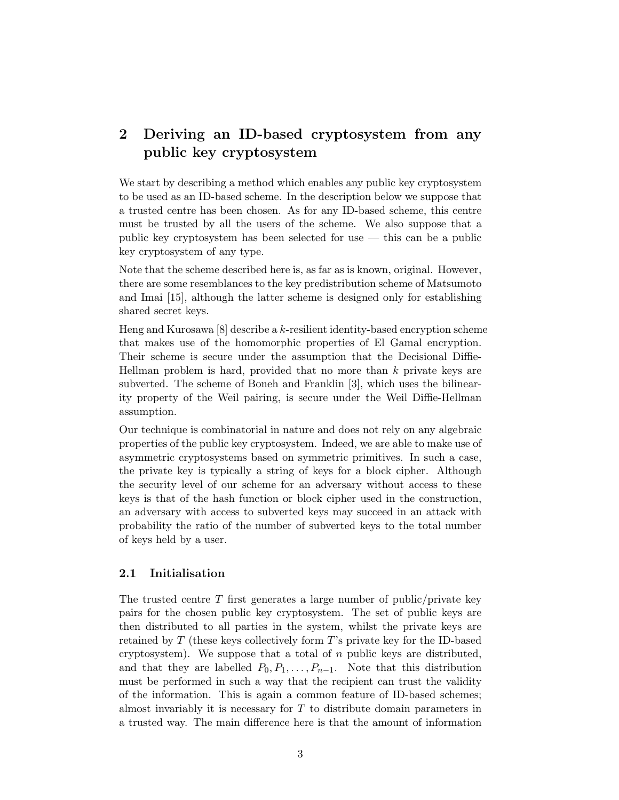# 2 Deriving an ID-based cryptosystem from any public key cryptosystem

We start by describing a method which enables any public key cryptosystem to be used as an ID-based scheme. In the description below we suppose that a trusted centre has been chosen. As for any ID-based scheme, this centre must be trusted by all the users of the scheme. We also suppose that a public key cryptosystem has been selected for use — this can be a public key cryptosystem of any type.

Note that the scheme described here is, as far as is known, original. However, there are some resemblances to the key predistribution scheme of Matsumoto and Imai [15], although the latter scheme is designed only for establishing shared secret keys.

Heng and Kurosawa  $[8]$  describe a k-resilient identity-based encryption scheme that makes use of the homomorphic properties of El Gamal encryption. Their scheme is secure under the assumption that the Decisional Diffie-Hellman problem is hard, provided that no more than  $k$  private keys are subverted. The scheme of Boneh and Franklin [3], which uses the bilinearity property of the Weil pairing, is secure under the Weil Diffie-Hellman assumption.

Our technique is combinatorial in nature and does not rely on any algebraic properties of the public key cryptosystem. Indeed, we are able to make use of asymmetric cryptosystems based on symmetric primitives. In such a case, the private key is typically a string of keys for a block cipher. Although the security level of our scheme for an adversary without access to these keys is that of the hash function or block cipher used in the construction, an adversary with access to subverted keys may succeed in an attack with probability the ratio of the number of subverted keys to the total number of keys held by a user.

### 2.1 Initialisation

The trusted centre  $T$  first generates a large number of public/private key pairs for the chosen public key cryptosystem. The set of public keys are then distributed to all parties in the system, whilst the private keys are retained by  $T$  (these keys collectively form  $T$ 's private key for the ID-based cryptosystem). We suppose that a total of  $n$  public keys are distributed, and that they are labelled  $P_0, P_1, \ldots, P_{n-1}$ . Note that this distribution must be performed in such a way that the recipient can trust the validity of the information. This is again a common feature of ID-based schemes; almost invariably it is necessary for T to distribute domain parameters in a trusted way. The main difference here is that the amount of information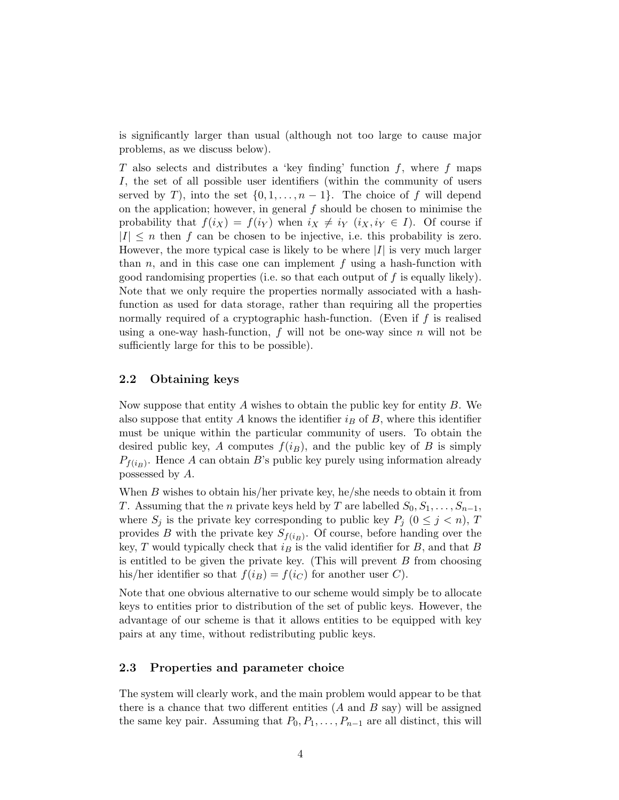is significantly larger than usual (although not too large to cause major problems, as we discuss below).

T also selects and distributes a 'key finding' function  $f$ , where  $f$  maps I, the set of all possible user identifiers (within the community of users served by T), into the set  $\{0, 1, \ldots, n-1\}$ . The choice of f will depend on the application; however, in general  $f$  should be chosen to minimise the probability that  $f(i_X) = f(i_Y)$  when  $i_X \neq i_Y$   $(i_X, i_Y \in I)$ . Of course if  $|I| \leq n$  then f can be chosen to be injective, i.e. this probability is zero. However, the more typical case is likely to be where  $|I|$  is very much larger than n, and in this case one can implement f using a hash-function with good randomising properties (i.e. so that each output of  $f$  is equally likely). Note that we only require the properties normally associated with a hashfunction as used for data storage, rather than requiring all the properties normally required of a cryptographic hash-function. (Even if  $f$  is realised using a one-way hash-function,  $f$  will not be one-way since  $n$  will not be sufficiently large for this to be possible).

### 2.2 Obtaining keys

Now suppose that entity  $A$  wishes to obtain the public key for entity  $B$ . We also suppose that entity A knows the identifier  $i_B$  of B, where this identifier must be unique within the particular community of users. To obtain the desired public key, A computes  $f(i_B)$ , and the public key of B is simply  $P_{f(i_B)}$ . Hence A can obtain B's public key purely using information already possessed by A.

When B wishes to obtain his/her private key, he/she needs to obtain it from T. Assuming that the *n* private keys held by T are labelled  $S_0, S_1, \ldots, S_{n-1}$ , where  $S_j$  is the private key corresponding to public key  $P_j$   $(0 \leq j \leq n)$ , T provides B with the private key  $S_{f(i_B)}$ . Of course, before handing over the key, T would typically check that  $i_B$  is the valid identifier for B, and that B is entitled to be given the private key. (This will prevent  $B$  from choosing his/her identifier so that  $f(i) = f(i)$  for another user C.

Note that one obvious alternative to our scheme would simply be to allocate keys to entities prior to distribution of the set of public keys. However, the advantage of our scheme is that it allows entities to be equipped with key pairs at any time, without redistributing public keys.

#### 2.3 Properties and parameter choice

The system will clearly work, and the main problem would appear to be that there is a chance that two different entities  $(A \text{ and } B \text{ say})$  will be assigned the same key pair. Assuming that  $P_0, P_1, \ldots, P_{n-1}$  are all distinct, this will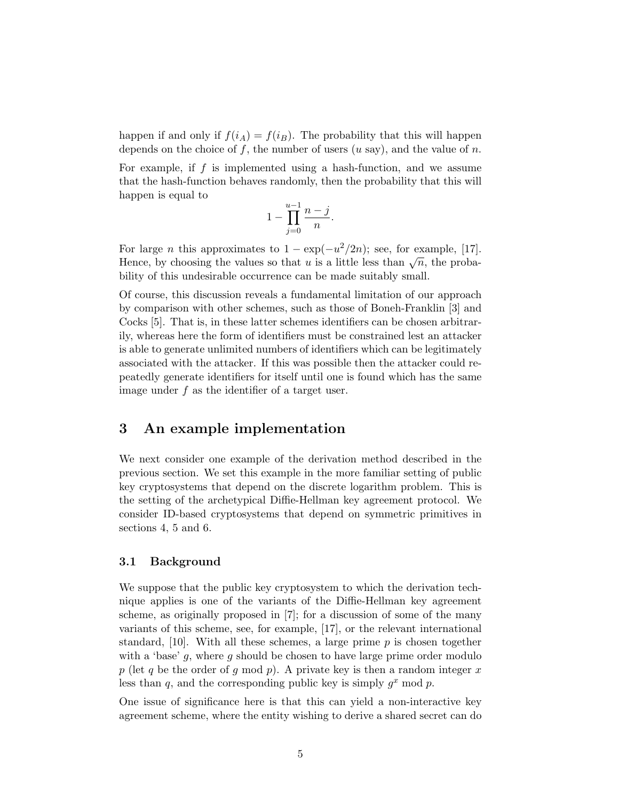happen if and only if  $f(i_A) = f(i_B)$ . The probability that this will happen depends on the choice of f, the number of users  $(u \text{ say})$ , and the value of n.

For example, if f is implemented using a hash-function, and we assume that the hash-function behaves randomly, then the probability that this will happen is equal to

$$
1 - \prod_{j=0}^{u-1} \frac{n-j}{n}.
$$

For large *n* this approximates to  $1 - \exp(-u^2/2n)$ ; see, for example, [17]. Hence, by choosing the values so that u is a little less than  $\sqrt{n}$ , the probability of this undesirable occurrence can be made suitably small.

Of course, this discussion reveals a fundamental limitation of our approach by comparison with other schemes, such as those of Boneh-Franklin [3] and Cocks [5]. That is, in these latter schemes identifiers can be chosen arbitrarily, whereas here the form of identifiers must be constrained lest an attacker is able to generate unlimited numbers of identifiers which can be legitimately associated with the attacker. If this was possible then the attacker could repeatedly generate identifiers for itself until one is found which has the same image under f as the identifier of a target user.

## 3 An example implementation

We next consider one example of the derivation method described in the previous section. We set this example in the more familiar setting of public key cryptosystems that depend on the discrete logarithm problem. This is the setting of the archetypical Diffie-Hellman key agreement protocol. We consider ID-based cryptosystems that depend on symmetric primitives in sections 4, 5 and 6.

### 3.1 Background

We suppose that the public key cryptosystem to which the derivation technique applies is one of the variants of the Diffie-Hellman key agreement scheme, as originally proposed in [7]; for a discussion of some of the many variants of this scheme, see, for example, [17], or the relevant international standard, [10]. With all these schemes, a large prime  $p$  is chosen together with a 'base'  $q$ , where  $q$  should be chosen to have large prime order modulo p (let q be the order of g mod p). A private key is then a random integer x less than q, and the corresponding public key is simply  $g^x$  mod p.

One issue of significance here is that this can yield a non-interactive key agreement scheme, where the entity wishing to derive a shared secret can do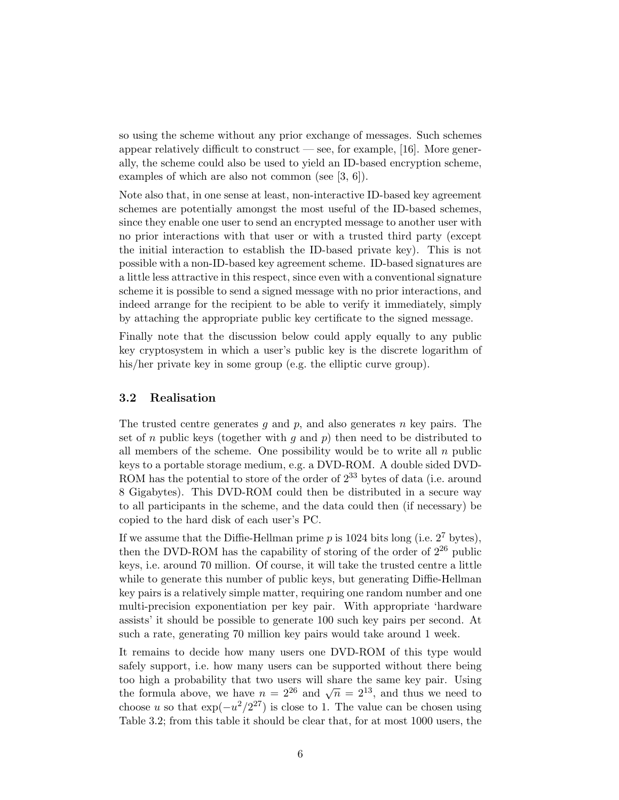so using the scheme without any prior exchange of messages. Such schemes appear relatively difficult to construct — see, for example,  $[16]$ . More generally, the scheme could also be used to yield an ID-based encryption scheme, examples of which are also not common (see [3, 6]).

Note also that, in one sense at least, non-interactive ID-based key agreement schemes are potentially amongst the most useful of the ID-based schemes, since they enable one user to send an encrypted message to another user with no prior interactions with that user or with a trusted third party (except the initial interaction to establish the ID-based private key). This is not possible with a non-ID-based key agreement scheme. ID-based signatures are a little less attractive in this respect, since even with a conventional signature scheme it is possible to send a signed message with no prior interactions, and indeed arrange for the recipient to be able to verify it immediately, simply by attaching the appropriate public key certificate to the signed message.

Finally note that the discussion below could apply equally to any public key cryptosystem in which a user's public key is the discrete logarithm of his/her private key in some group (e.g. the elliptic curve group).

### 3.2 Realisation

The trusted centre generates q and  $p$ , and also generates  $n$  key pairs. The set of n public keys (together with g and p) then need to be distributed to all members of the scheme. One possibility would be to write all  $n$  public keys to a portable storage medium, e.g. a DVD-ROM. A double sided DVD-ROM has the potential to store of the order of  $2^{33}$  bytes of data (i.e. around 8 Gigabytes). This DVD-ROM could then be distributed in a secure way to all participants in the scheme, and the data could then (if necessary) be copied to the hard disk of each user's PC.

If we assume that the Diffie-Hellman prime  $p$  is 1024 bits long (i.e.  $2^7$  bytes), then the DVD-ROM has the capability of storing of the order of  $2^{26}$  public keys, i.e. around 70 million. Of course, it will take the trusted centre a little while to generate this number of public keys, but generating Diffie-Hellman key pairs is a relatively simple matter, requiring one random number and one multi-precision exponentiation per key pair. With appropriate 'hardware assists' it should be possible to generate 100 such key pairs per second. At such a rate, generating 70 million key pairs would take around 1 week.

It remains to decide how many users one DVD-ROM of this type would safely support, i.e. how many users can be supported without there being too high a probability that two users will share the same key pair. Using the formula above, we have  $n = 2^{26}$  and  $\sqrt{n} = 2^{13}$ , and thus we need to choose u so that  $\exp(-u^2/2^{27})$  is close to 1. The value can be chosen using Table 3.2; from this table it should be clear that, for at most 1000 users, the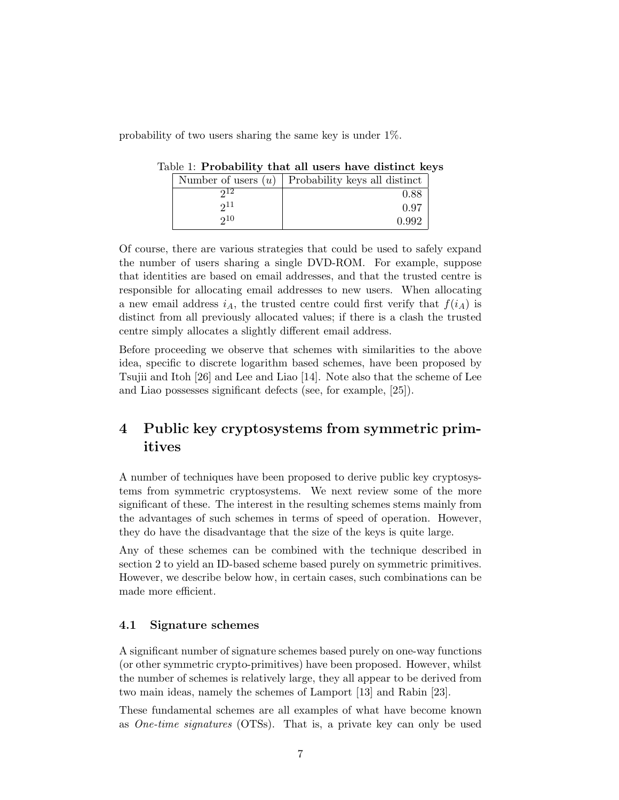probability of two users sharing the same key is under 1%.

|     | Number of users $(u)$   Probability keys all distinct |
|-----|-------------------------------------------------------|
| 012 | 0.88                                                  |
| 211 | 0.97                                                  |
| 210 | 0.992                                                 |

Table 1: Probability that all users have distinct keys

Of course, there are various strategies that could be used to safely expand the number of users sharing a single DVD-ROM. For example, suppose that identities are based on email addresses, and that the trusted centre is responsible for allocating email addresses to new users. When allocating a new email address  $i_A$ , the trusted centre could first verify that  $f(i_A)$  is distinct from all previously allocated values; if there is a clash the trusted centre simply allocates a slightly different email address.

Before proceeding we observe that schemes with similarities to the above idea, specific to discrete logarithm based schemes, have been proposed by Tsujii and Itoh [26] and Lee and Liao [14]. Note also that the scheme of Lee and Liao possesses significant defects (see, for example, [25]).

# 4 Public key cryptosystems from symmetric primitives

A number of techniques have been proposed to derive public key cryptosystems from symmetric cryptosystems. We next review some of the more significant of these. The interest in the resulting schemes stems mainly from the advantages of such schemes in terms of speed of operation. However, they do have the disadvantage that the size of the keys is quite large.

Any of these schemes can be combined with the technique described in section 2 to yield an ID-based scheme based purely on symmetric primitives. However, we describe below how, in certain cases, such combinations can be made more efficient.

### 4.1 Signature schemes

A significant number of signature schemes based purely on one-way functions (or other symmetric crypto-primitives) have been proposed. However, whilst the number of schemes is relatively large, they all appear to be derived from two main ideas, namely the schemes of Lamport [13] and Rabin [23].

These fundamental schemes are all examples of what have become known as One-time signatures (OTSs). That is, a private key can only be used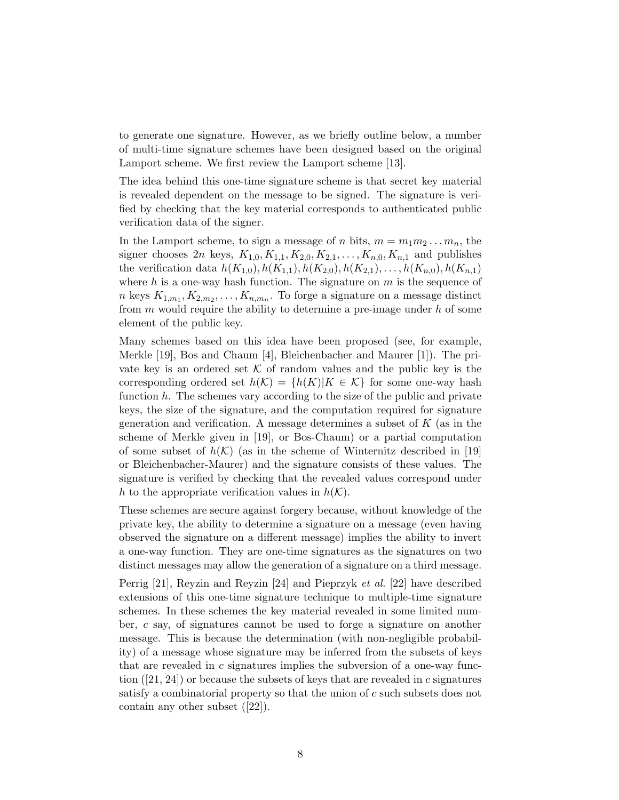to generate one signature. However, as we briefly outline below, a number of multi-time signature schemes have been designed based on the original Lamport scheme. We first review the Lamport scheme [13].

The idea behind this one-time signature scheme is that secret key material is revealed dependent on the message to be signed. The signature is verified by checking that the key material corresponds to authenticated public verification data of the signer.

In the Lamport scheme, to sign a message of n bits,  $m = m_1 m_2 \ldots m_n$ , the signer chooses 2n keys,  $K_{1,0}, K_{1,1}, K_{2,0}, K_{2,1}, \ldots, K_{n,0}, K_{n,1}$  and publishes the verification data  $h(K_{1,0}), h(K_{1,1}), h(K_{2,0}), h(K_{2,1}), \ldots, h(K_{n,0}), h(K_{n,1})$ where  $h$  is a one-way hash function. The signature on  $m$  is the sequence of *n* keys  $K_{1,m_1}, K_{2,m_2}, \ldots, K_{n,m_n}$ . To forge a signature on a message distinct from  $m$  would require the ability to determine a pre-image under  $h$  of some element of the public key.

Many schemes based on this idea have been proposed (see, for example, Merkle [19], Bos and Chaum [4], Bleichenbacher and Maurer [1]). The private key is an ordered set  $K$  of random values and the public key is the corresponding ordered set  $h(\mathcal{K}) = \{h(K)|K \in \mathcal{K}\}\$  for some one-way hash function  $h$ . The schemes vary according to the size of the public and private keys, the size of the signature, and the computation required for signature generation and verification. A message determines a subset of  $K$  (as in the scheme of Merkle given in [19], or Bos-Chaum) or a partial computation of some subset of  $h(\mathcal{K})$  (as in the scheme of Winternitz described in [19] or Bleichenbacher-Maurer) and the signature consists of these values. The signature is verified by checking that the revealed values correspond under h to the appropriate verification values in  $h(\mathcal{K})$ .

These schemes are secure against forgery because, without knowledge of the private key, the ability to determine a signature on a message (even having observed the signature on a different message) implies the ability to invert a one-way function. They are one-time signatures as the signatures on two distinct messages may allow the generation of a signature on a third message.

Perrig [21], Reyzin and Reyzin [24] and Pieprzyk et al. [22] have described extensions of this one-time signature technique to multiple-time signature schemes. In these schemes the key material revealed in some limited number, c say, of signatures cannot be used to forge a signature on another message. This is because the determination (with non-negligible probability) of a message whose signature may be inferred from the subsets of keys that are revealed in  $c$  signatures implies the subversion of a one-way function  $([21, 24])$  or because the subsets of keys that are revealed in c signatures satisfy a combinatorial property so that the union of c such subsets does not contain any other subset ([22]).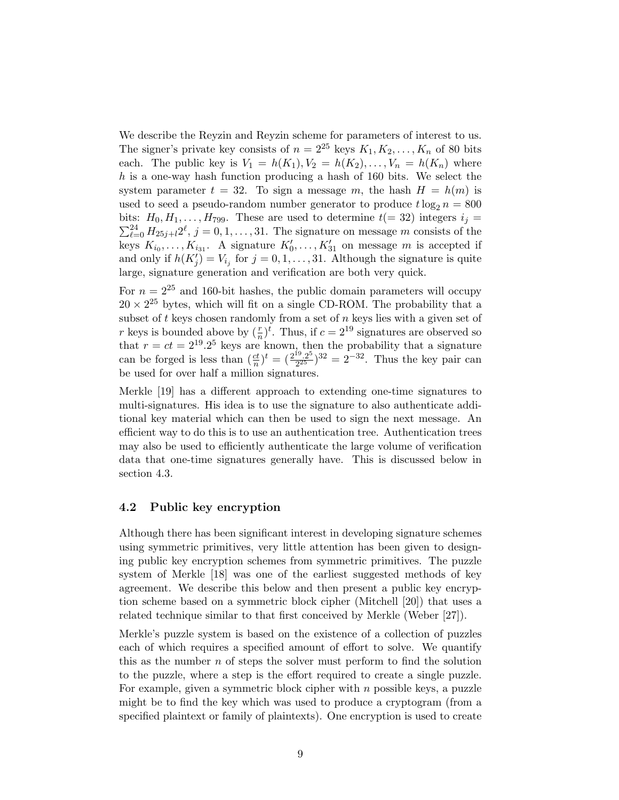We describe the Reyzin and Reyzin scheme for parameters of interest to us. The signer's private key consists of  $n = 2^{25}$  keys  $K_1, K_2, \ldots, K_n$  of 80 bits each. The public key is  $V_1 = h(K_1), V_2 = h(K_2), \ldots, V_n = h(K_n)$  where  $h$  is a one-way hash function producing a hash of 160 bits. We select the system parameter  $t = 32$ . To sign a message m, the hash  $H = h(m)$  is used to seed a pseudo-random number generator to produce  $t \log_2 n = 800$ bits:  $H_0, H_1, \ldots, H_{799}$ . These are used to determine  $t(= 32)$  integers  $i_j =$  $^{24}_{\ell=0}$   $H_{25j+l}2^{\ell}, j = 0, 1, \ldots, 31$ . The signature on message m consists of the keys  $K_{i_0}, \ldots, K_{i_{31}}$ . A signature  $K'_0, \ldots, K'_{31}$  on message m is accepted if and only if  $h(K'_j) = V_{i_j}$  for  $j = 0, 1, ..., 31$ . Although the signature is quite large, signature generation and verification are both very quick.

For  $n = 2^{25}$  and 160-bit hashes, the public domain parameters will occupy  $20 \times 2^{25}$  bytes, which will fit on a single CD-ROM. The probability that a subset of t keys chosen randomly from a set of n keys lies with a given set of r keys is bounded above by  $(\frac{r}{n})^t$ . Thus, if  $c = 2^{19}$  signatures are observed so that  $r = ct = 2^{19} \cdot 2^5$  keys are known, then the probability that a signature can be forged is less than  $(\frac{ct}{n})^t = (\frac{2^{19} \cdot 2^5}{2^{25}})$  $(2^{19} \cdot 2^{5})^{32} = 2^{-32}$ . Thus the key pair can be used for over half a million signatures.

Merkle [19] has a different approach to extending one-time signatures to multi-signatures. His idea is to use the signature to also authenticate additional key material which can then be used to sign the next message. An efficient way to do this is to use an authentication tree. Authentication trees may also be used to efficiently authenticate the large volume of verification data that one-time signatures generally have. This is discussed below in section 4.3.

### 4.2 Public key encryption

Although there has been significant interest in developing signature schemes using symmetric primitives, very little attention has been given to designing public key encryption schemes from symmetric primitives. The puzzle system of Merkle [18] was one of the earliest suggested methods of key agreement. We describe this below and then present a public key encryption scheme based on a symmetric block cipher (Mitchell [20]) that uses a related technique similar to that first conceived by Merkle (Weber [27]).

Merkle's puzzle system is based on the existence of a collection of puzzles each of which requires a specified amount of effort to solve. We quantify this as the number  $n$  of steps the solver must perform to find the solution to the puzzle, where a step is the effort required to create a single puzzle. For example, given a symmetric block cipher with  $n$  possible keys, a puzzle might be to find the key which was used to produce a cryptogram (from a specified plaintext or family of plaintexts). One encryption is used to create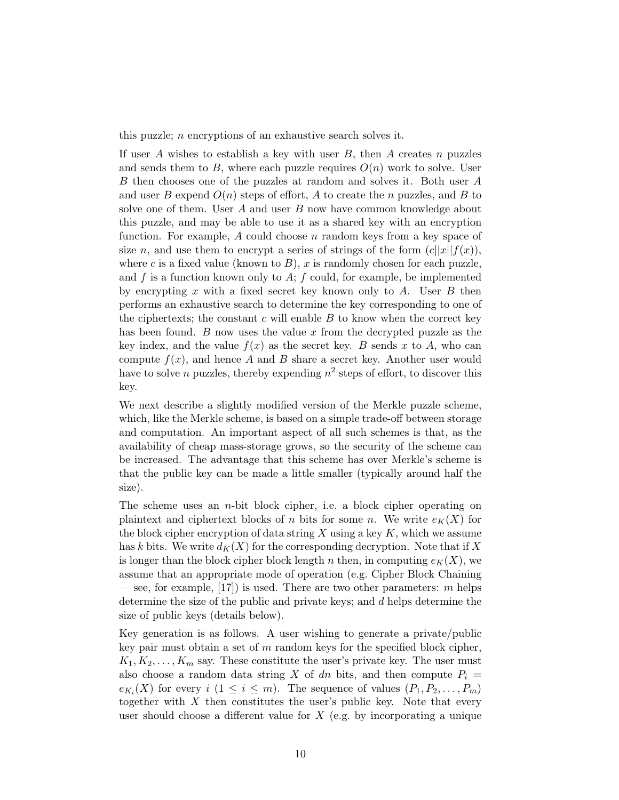this puzzle; n encryptions of an exhaustive search solves it.

If user  $A$  wishes to establish a key with user  $B$ , then  $A$  creates  $n$  puzzles and sends them to B, where each puzzle requires  $O(n)$  work to solve. User B then chooses one of the puzzles at random and solves it. Both user A and user B expend  $O(n)$  steps of effort, A to create the n puzzles, and B to solve one of them. User  $A$  and user  $B$  now have common knowledge about this puzzle, and may be able to use it as a shared key with an encryption function. For example, A could choose  $n$  random keys from a key space of size n, and use them to encrypt a series of strings of the form  $\left(c||x||f(x)\right)$ , where c is a fixed value (known to  $B$ ), x is randomly chosen for each puzzle, and  $f$  is a function known only to  $A$ ;  $f$  could, for example, be implemented by encrypting x with a fixed secret key known only to  $A$ . User  $B$  then performs an exhaustive search to determine the key corresponding to one of the ciphertexts; the constant c will enable  $B$  to know when the correct key has been found.  $B$  now uses the value  $x$  from the decrypted puzzle as the key index, and the value  $f(x)$  as the secret key. B sends x to A, who can compute  $f(x)$ , and hence A and B share a secret key. Another user would have to solve *n* puzzles, thereby expending  $n^2$  steps of effort, to discover this key.

We next describe a slightly modified version of the Merkle puzzle scheme, which, like the Merkle scheme, is based on a simple trade-off between storage and computation. An important aspect of all such schemes is that, as the availability of cheap mass-storage grows, so the security of the scheme can be increased. The advantage that this scheme has over Merkle's scheme is that the public key can be made a little smaller (typically around half the size).

The scheme uses an n-bit block cipher, i.e. a block cipher operating on plaintext and ciphertext blocks of n bits for some n. We write  $e_K(X)$  for the block cipher encryption of data string X using a key  $K$ , which we assume has k bits. We write  $d_K(X)$  for the corresponding decryption. Note that if X is longer than the block cipher block length n then, in computing  $e_K(X)$ , we assume that an appropriate mode of operation (e.g. Cipher Block Chaining — see, for example,  $[17]$  is used. There are two other parameters: m helps determine the size of the public and private keys; and d helps determine the size of public keys (details below).

Key generation is as follows. A user wishing to generate a private/public key pair must obtain a set of  $m$  random keys for the specified block cipher,  $K_1, K_2, \ldots, K_m$  say. These constitute the user's private key. The user must also choose a random data string X of dn bits, and then compute  $P_i =$  $e_{K_i}(X)$  for every  $i \ (1 \leq i \leq m)$ . The sequence of values  $(P_1, P_2, \ldots, P_m)$ together with X then constitutes the user's public key. Note that every user should choose a different value for  $X$  (e.g. by incorporating a unique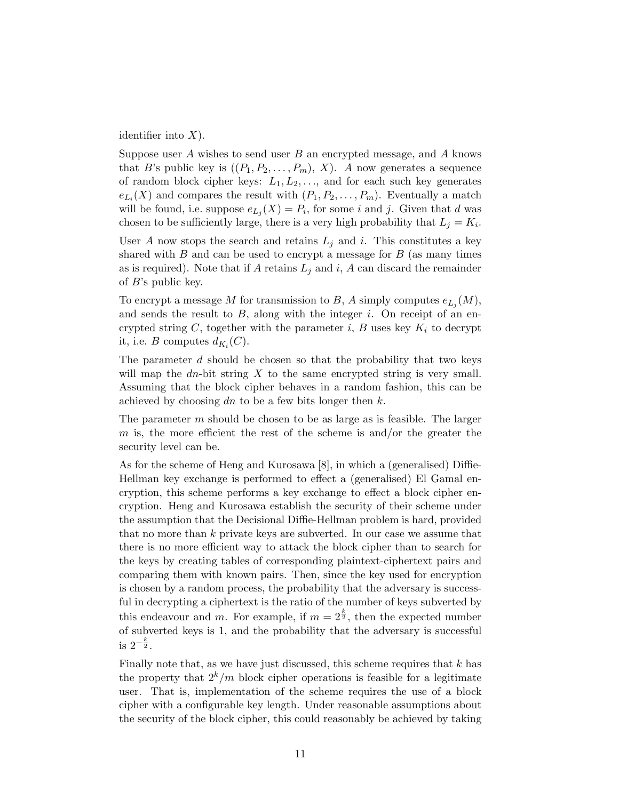identifier into  $X$ ).

Suppose user A wishes to send user B an encrypted message, and A knows that B's public key is  $((P_1, P_2, \ldots, P_m), X)$ . A now generates a sequence of random block cipher keys:  $L_1, L_2, \ldots$ , and for each such key generates  $e_{L_i}(X)$  and compares the result with  $(P_1, P_2, \ldots, P_m)$ . Eventually a match will be found, i.e. suppose  $e_{L_j}(X) = P_i$ , for some i and j. Given that d was chosen to be sufficiently large, there is a very high probability that  $L_j = K_i$ .

User A now stops the search and retains  $L_j$  and i. This constitutes a key shared with  $B$  and can be used to encrypt a message for  $B$  (as many times as is required). Note that if A retains  $L_i$  and i, A can discard the remainder of  $B$ 's public key.

To encrypt a message M for transmission to B, A simply computes  $e_{L_j}(M)$ , and sends the result to  $B$ , along with the integer  $i$ . On receipt of an encrypted string C, together with the parameter i, B uses key  $K_i$  to decrypt it, i.e. B computes  $d_{K_i}(C)$ .

The parameter  $d$  should be chosen so that the probability that two keys will map the  $dn$ -bit string X to the same encrypted string is very small. Assuming that the block cipher behaves in a random fashion, this can be achieved by choosing dn to be a few bits longer then  $k$ .

The parameter  $m$  should be chosen to be as large as is feasible. The larger m is, the more efficient the rest of the scheme is and/or the greater the security level can be.

As for the scheme of Heng and Kurosawa [8], in which a (generalised) Diffie-Hellman key exchange is performed to effect a (generalised) El Gamal encryption, this scheme performs a key exchange to effect a block cipher encryption. Heng and Kurosawa establish the security of their scheme under the assumption that the Decisional Diffie-Hellman problem is hard, provided that no more than  $k$  private keys are subverted. In our case we assume that there is no more efficient way to attack the block cipher than to search for the keys by creating tables of corresponding plaintext-ciphertext pairs and comparing them with known pairs. Then, since the key used for encryption is chosen by a random process, the probability that the adversary is successful in decrypting a ciphertext is the ratio of the number of keys subverted by this endeavour and m. For example, if  $m = 2^{\frac{k}{2}}$ , then the expected number of subverted keys is 1, and the probability that the adversary is successful is  $2^{-\frac{k}{2}}$ .

Finally note that, as we have just discussed, this scheme requires that  $k$  has the property that  $2^k/m$  block cipher operations is feasible for a legitimate user. That is, implementation of the scheme requires the use of a block cipher with a configurable key length. Under reasonable assumptions about the security of the block cipher, this could reasonably be achieved by taking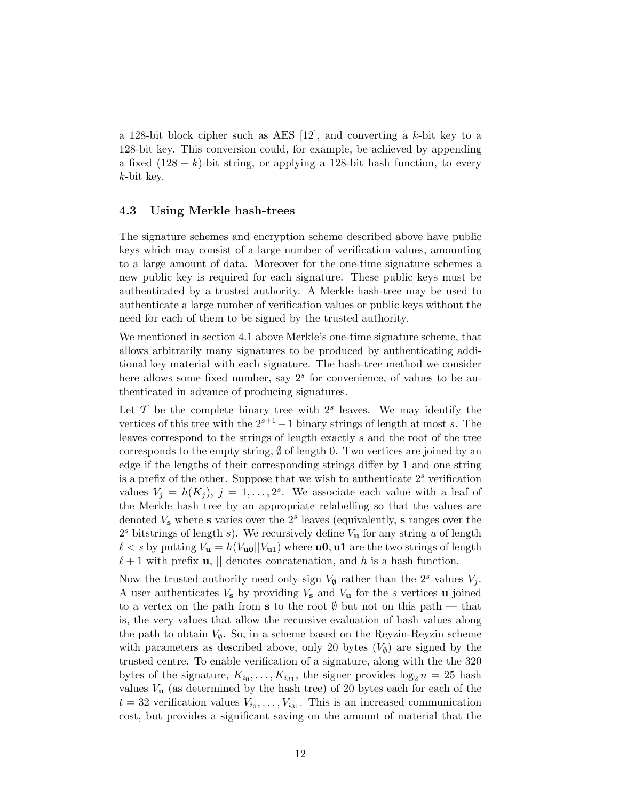a 128-bit block cipher such as AES  $[12]$ , and converting a k-bit key to a 128-bit key. This conversion could, for example, be achieved by appending a fixed  $(128 - k)$ -bit string, or applying a 128-bit hash function, to every k-bit key.

#### 4.3 Using Merkle hash-trees

The signature schemes and encryption scheme described above have public keys which may consist of a large number of verification values, amounting to a large amount of data. Moreover for the one-time signature schemes a new public key is required for each signature. These public keys must be authenticated by a trusted authority. A Merkle hash-tree may be used to authenticate a large number of verification values or public keys without the need for each of them to be signed by the trusted authority.

We mentioned in section 4.1 above Merkle's one-time signature scheme, that allows arbitrarily many signatures to be produced by authenticating additional key material with each signature. The hash-tree method we consider here allows some fixed number, say  $2<sup>s</sup>$  for convenience, of values to be authenticated in advance of producing signatures.

Let  $\mathcal T$  be the complete binary tree with  $2^s$  leaves. We may identify the vertices of this tree with the  $2^{s+1} - 1$  binary strings of length at most s. The leaves correspond to the strings of length exactly s and the root of the tree corresponds to the empty string,  $\emptyset$  of length 0. Two vertices are joined by an edge if the lengths of their corresponding strings differ by 1 and one string is a prefix of the other. Suppose that we wish to authenticate  $2<sup>s</sup>$  verification values  $V_j = h(K_j)$ ,  $j = 1, ..., 2<sup>s</sup>$ . We associate each value with a leaf of the Merkle hash tree by an appropriate relabelling so that the values are denoted  $V_s$  where s varies over the  $2<sup>s</sup>$  leaves (equivalently, s ranges over the  $2<sup>s</sup>$  bitstrings of length s). We recursively define  $V_{\mathbf{u}}$  for any string u of length  $\ell < s$  by putting  $V_{\mathbf{u}} = h(V_{\mathbf{u0}}||V_{\mathbf{u1}})$  where  $\mathbf{u0}, \mathbf{u1}$  are the two strings of length  $\ell + 1$  with prefix **u**,  $\parallel$  denotes concatenation, and h is a hash function.

Now the trusted authority need only sign  $V_{\emptyset}$  rather than the  $2^s$  values  $V_j$ . A user authenticates  $V_s$  by providing  $V_s$  and  $V_u$  for the s vertices u joined to a vertex on the path from s to the root  $\emptyset$  but not on this path — that is, the very values that allow the recursive evaluation of hash values along the path to obtain  $V_{\emptyset}$ . So, in a scheme based on the Reyzin-Reyzin scheme with parameters as described above, only 20 bytes  $(V_{\emptyset})$  are signed by the trusted centre. To enable verification of a signature, along with the the 320 bytes of the signature,  $K_{i_0}, \ldots, K_{i_{31}}$ , the signer provides  $\log_2 n = 25$  hash values  $V_{\mathbf{u}}$  (as determined by the hash tree) of 20 bytes each for each of the  $t = 32$  verification values  $V_{i_0}, \ldots, V_{i_{31}}$ . This is an increased communication cost, but provides a significant saving on the amount of material that the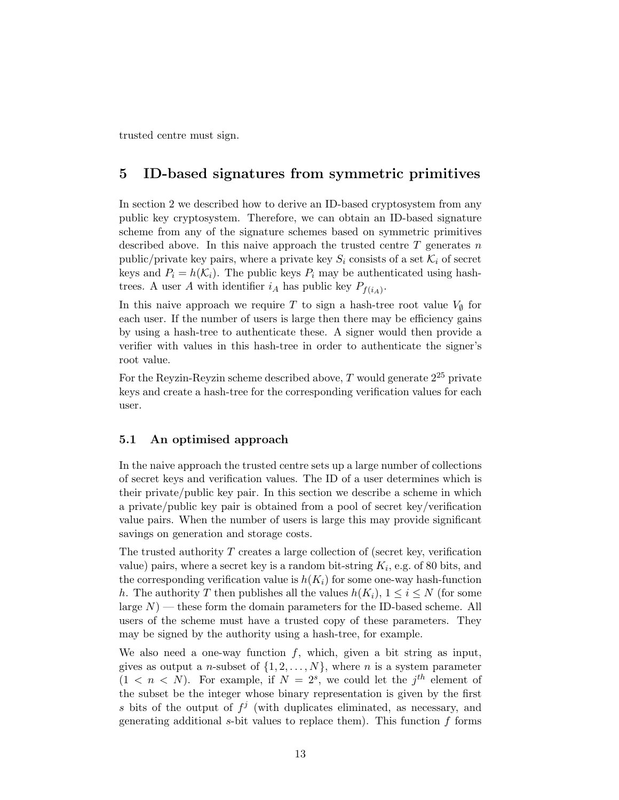trusted centre must sign.

## 5 ID-based signatures from symmetric primitives

In section 2 we described how to derive an ID-based cryptosystem from any public key cryptosystem. Therefore, we can obtain an ID-based signature scheme from any of the signature schemes based on symmetric primitives described above. In this naive approach the trusted centre  $T$  generates  $n$ public/private key pairs, where a private key  $S_i$  consists of a set  $\mathcal{K}_i$  of secret keys and  $P_i = h(\mathcal{K}_i)$ . The public keys  $P_i$  may be authenticated using hashtrees. A user A with identifier  $i_A$  has public key  $P_{f(i_A)}$ .

In this naive approach we require T to sign a hash-tree root value  $V_{\emptyset}$  for each user. If the number of users is large then there may be efficiency gains by using a hash-tree to authenticate these. A signer would then provide a verifier with values in this hash-tree in order to authenticate the signer's root value.

For the Reyzin-Reyzin scheme described above,  $T$  would generate  $2^{25}$  private keys and create a hash-tree for the corresponding verification values for each user.

### 5.1 An optimised approach

In the naive approach the trusted centre sets up a large number of collections of secret keys and verification values. The ID of a user determines which is their private/public key pair. In this section we describe a scheme in which a private/public key pair is obtained from a pool of secret key/verification value pairs. When the number of users is large this may provide significant savings on generation and storage costs.

The trusted authority T creates a large collection of (secret key, verification value) pairs, where a secret key is a random bit-string  $K_i$ , e.g. of 80 bits, and the corresponding verification value is  $h(K_i)$  for some one-way hash-function h. The authority T then publishes all the values  $h(K_i)$ ,  $1 \leq i \leq N$  (for some large  $N$ ) — these form the domain parameters for the ID-based scheme. All users of the scheme must have a trusted copy of these parameters. They may be signed by the authority using a hash-tree, for example.

We also need a one-way function  $f$ , which, given a bit string as input, gives as output a *n*-subset of  $\{1, 2, ..., N\}$ , where *n* is a system parameter  $(1 \lt n \lt N)$ . For example, if  $N = 2^s$ , we could let the j<sup>th</sup> element of the subset be the integer whose binary representation is given by the first s bits of the output of  $f^j$  (with duplicates eliminated, as necessary, and generating additional s-bit values to replace them). This function  $f$  forms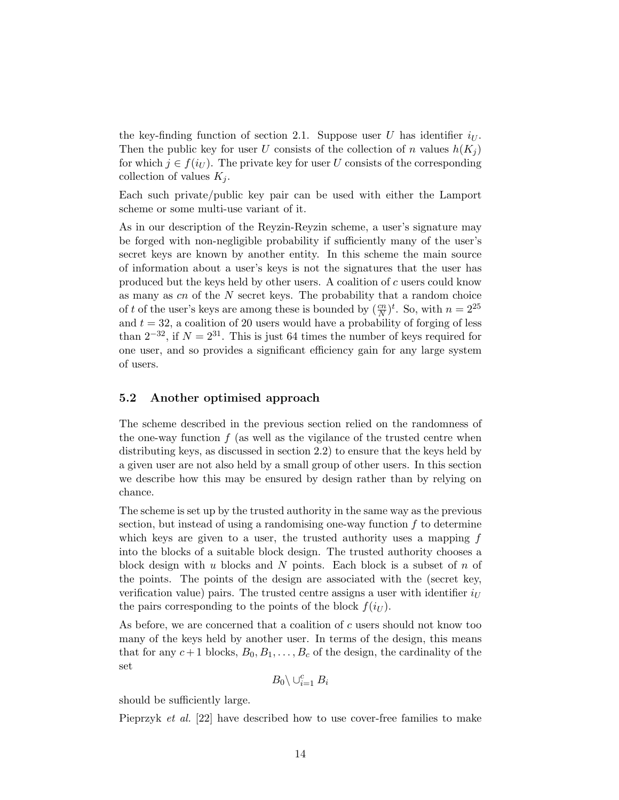the key-finding function of section 2.1. Suppose user U has identifier  $i_U$ . Then the public key for user U consists of the collection of n values  $h(K_i)$ for which  $j \in f(i_U)$ . The private key for user U consists of the corresponding collection of values  $K_j$ .

Each such private/public key pair can be used with either the Lamport scheme or some multi-use variant of it.

As in our description of the Reyzin-Reyzin scheme, a user's signature may be forged with non-negligible probability if sufficiently many of the user's secret keys are known by another entity. In this scheme the main source of information about a user's keys is not the signatures that the user has produced but the keys held by other users. A coalition of  $c$  users could know as many as  $cn$  of the  $N$  secret keys. The probability that a random choice of t of the user's keys are among these is bounded by  $(\frac{cn}{N})^t$ . So, with  $n = 2^{25}$ and  $t = 32$ , a coalition of 20 users would have a probability of forging of less than  $2^{-32}$ , if  $N = 2^{31}$ . This is just 64 times the number of keys required for one user, and so provides a significant efficiency gain for any large system of users.

### 5.2 Another optimised approach

The scheme described in the previous section relied on the randomness of the one-way function  $f$  (as well as the vigilance of the trusted centre when distributing keys, as discussed in section 2.2) to ensure that the keys held by a given user are not also held by a small group of other users. In this section we describe how this may be ensured by design rather than by relying on chance.

The scheme is set up by the trusted authority in the same way as the previous section, but instead of using a randomising one-way function f to determine which keys are given to a user, the trusted authority uses a mapping  $f$ into the blocks of a suitable block design. The trusted authority chooses a block design with  $u$  blocks and  $N$  points. Each block is a subset of  $n$  of the points. The points of the design are associated with the (secret key, verification value) pairs. The trusted centre assigns a user with identifier  $i_U$ the pairs corresponding to the points of the block  $f(i_U)$ .

As before, we are concerned that a coalition of  $c$  users should not know too many of the keys held by another user. In terms of the design, this means that for any  $c+1$  blocks,  $B_0, B_1, \ldots, B_c$  of the design, the cardinality of the set

$$
B_0 \setminus \cup_{i=1}^c B_i
$$

should be sufficiently large.

Pieprzyk et al. [22] have described how to use cover-free families to make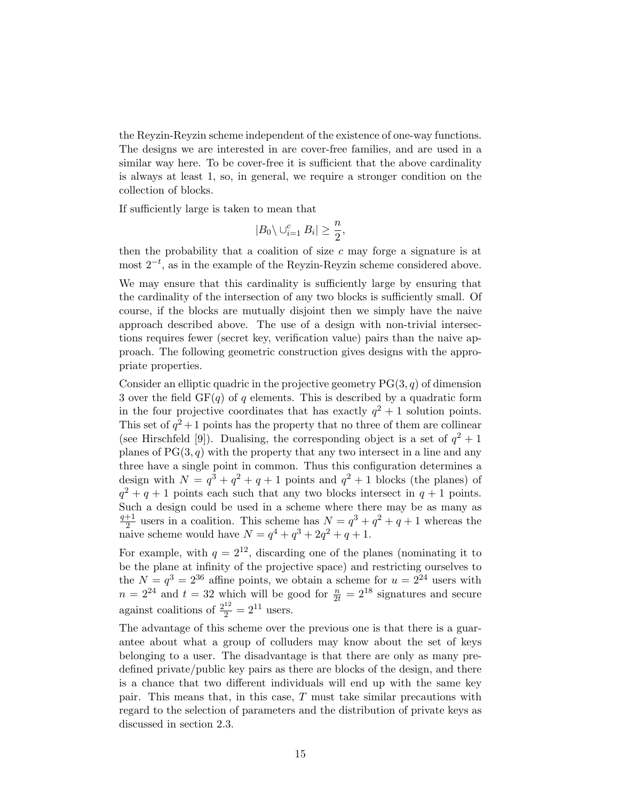the Reyzin-Reyzin scheme independent of the existence of one-way functions. The designs we are interested in are cover-free families, and are used in a similar way here. To be cover-free it is sufficient that the above cardinality is always at least 1, so, in general, we require a stronger condition on the collection of blocks.

If sufficiently large is taken to mean that

$$
|B_0 \setminus \cup_{i=1}^c B_i| \geq \frac{n}{2},
$$

then the probability that a coalition of size  $c$  may forge a signature is at most  $2^{-t}$ , as in the example of the Reyzin-Reyzin scheme considered above.

We may ensure that this cardinality is sufficiently large by ensuring that the cardinality of the intersection of any two blocks is sufficiently small. Of course, if the blocks are mutually disjoint then we simply have the naive approach described above. The use of a design with non-trivial intersections requires fewer (secret key, verification value) pairs than the naive approach. The following geometric construction gives designs with the appropriate properties.

Consider an elliptic quadric in the projective geometry  $PG(3, q)$  of dimension 3 over the field  $GF(q)$  of q elements. This is described by a quadratic form in the four projective coordinates that has exactly  $q^2 + 1$  solution points. This set of  $q^2+1$  points has the property that no three of them are collinear (see Hirschfeld [9]). Dualising, the corresponding object is a set of  $q^2 + 1$ planes of  $PG(3, q)$  with the property that any two intersect in a line and any three have a single point in common. Thus this configuration determines a design with  $N = q^3 + q^2 + q + 1$  points and  $q^2 + 1$  blocks (the planes) of  $q^2 + q + 1$  points each such that any two blocks intersect in  $q + 1$  points. Such a design could be used in a scheme where there may be as many as  $q+1$  $\frac{1}{2}$  users in a coalition. This scheme has  $N = q^3 + q^2 + q + 1$  whereas the naive scheme would have  $N = q^4 + q^3 + 2q^2 + q + 1$ .

For example, with  $q = 2^{12}$ , discarding one of the planes (nominating it to be the plane at infinity of the projective space) and restricting ourselves to the  $N = q^3 = 2^{36}$  affine points, we obtain a scheme for  $u = 2^{24}$  users with  $n = 2^{24}$  and  $t = 32$  which will be good for  $\frac{n}{2t} = 2^{18}$  signatures and secure against coalitions of  $\frac{2^{12}}{2} = 2^{11}$  users.

The advantage of this scheme over the previous one is that there is a guarantee about what a group of colluders may know about the set of keys belonging to a user. The disadvantage is that there are only as many predefined private/public key pairs as there are blocks of the design, and there is a chance that two different individuals will end up with the same key pair. This means that, in this case, T must take similar precautions with regard to the selection of parameters and the distribution of private keys as discussed in section 2.3.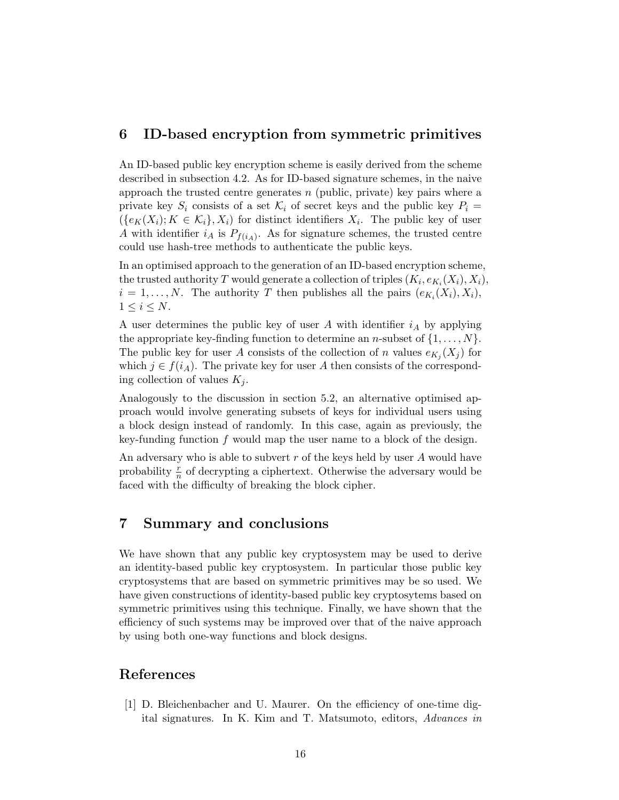### 6 ID-based encryption from symmetric primitives

An ID-based public key encryption scheme is easily derived from the scheme described in subsection 4.2. As for ID-based signature schemes, in the naive approach the trusted centre generates  $n$  (public, private) key pairs where a private key  $S_i$  consists of a set  $\mathcal{K}_i$  of secret keys and the public key  $P_i =$  $({e_K(X_i); K \in \mathcal{K}_i}, X_i)$  for distinct identifiers  $X_i$ . The public key of user A with identifier  $i_A$  is  $P_{f(i_A)}$ . As for signature schemes, the trusted centre could use hash-tree methods to authenticate the public keys.

In an optimised approach to the generation of an ID-based encryption scheme, the trusted authority T would generate a collection of triples  $(K_i, e_{K_i}(X_i), X_i)$ ,  $i = 1, \ldots, N$ . The authority T then publishes all the pairs  $(e_{K_i}(X_i), X_i)$ ,  $1 \leq i \leq N$ .

A user determines the public key of user A with identifier  $i_A$  by applying the appropriate key-finding function to determine an *n*-subset of  $\{1, \ldots, N\}$ . The public key for user A consists of the collection of n values  $e_{K_j}(X_j)$  for which  $j \in f(i_A)$ . The private key for user A then consists of the corresponding collection of values  $K_i$ .

Analogously to the discussion in section 5.2, an alternative optimised approach would involve generating subsets of keys for individual users using a block design instead of randomly. In this case, again as previously, the key-funding function  $f$  would map the user name to a block of the design.

An adversary who is able to subvert r of the keys held by user A would have probability  $\frac{r}{n}$  of decrypting a ciphertext. Otherwise the adversary would be faced with the difficulty of breaking the block cipher.

## 7 Summary and conclusions

We have shown that any public key cryptosystem may be used to derive an identity-based public key cryptosystem. In particular those public key cryptosystems that are based on symmetric primitives may be so used. We have given constructions of identity-based public key cryptosytems based on symmetric primitives using this technique. Finally, we have shown that the efficiency of such systems may be improved over that of the naive approach by using both one-way functions and block designs.

### References

[1] D. Bleichenbacher and U. Maurer. On the efficiency of one-time digital signatures. In K. Kim and T. Matsumoto, editors, Advances in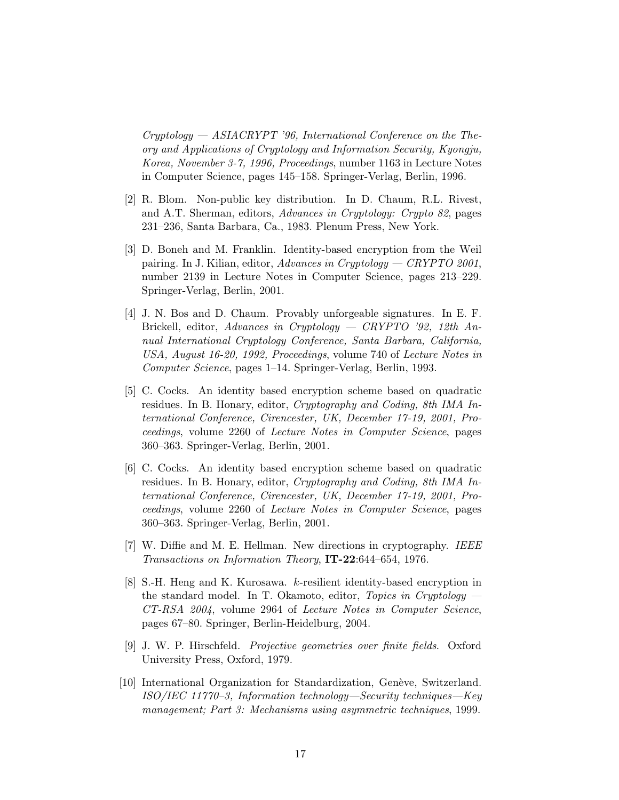Cryptology — ASIACRYPT '96, International Conference on the Theory and Applications of Cryptology and Information Security, Kyongju, Korea, November 3-7, 1996, Proceedings, number 1163 in Lecture Notes in Computer Science, pages 145–158. Springer-Verlag, Berlin, 1996.

- [2] R. Blom. Non-public key distribution. In D. Chaum, R.L. Rivest, and A.T. Sherman, editors, Advances in Cryptology: Crypto 82, pages 231–236, Santa Barbara, Ca., 1983. Plenum Press, New York.
- [3] D. Boneh and M. Franklin. Identity-based encryption from the Weil pairing. In J. Kilian, editor, Advances in Cryptology — CRYPTO 2001, number 2139 in Lecture Notes in Computer Science, pages 213–229. Springer-Verlag, Berlin, 2001.
- [4] J. N. Bos and D. Chaum. Provably unforgeable signatures. In E. F. Brickell, editor, Advances in Cryptology — CRYPTO '92, 12th Annual International Cryptology Conference, Santa Barbara, California, USA, August 16-20, 1992, Proceedings, volume 740 of Lecture Notes in Computer Science, pages 1–14. Springer-Verlag, Berlin, 1993.
- [5] C. Cocks. An identity based encryption scheme based on quadratic residues. In B. Honary, editor, Cryptography and Coding, 8th IMA International Conference, Cirencester, UK, December 17-19, 2001, Proceedings, volume 2260 of Lecture Notes in Computer Science, pages 360–363. Springer-Verlag, Berlin, 2001.
- [6] C. Cocks. An identity based encryption scheme based on quadratic residues. In B. Honary, editor, Cryptography and Coding, 8th IMA International Conference, Cirencester, UK, December 17-19, 2001, Proceedings, volume 2260 of Lecture Notes in Computer Science, pages 360–363. Springer-Verlag, Berlin, 2001.
- [7] W. Diffie and M. E. Hellman. New directions in cryptography. IEEE Transactions on Information Theory, IT-22:644–654, 1976.
- [8] S.-H. Heng and K. Kurosawa. k-resilient identity-based encryption in the standard model. In T. Okamoto, editor, Topics in Cryptology CT-RSA 2004, volume 2964 of Lecture Notes in Computer Science, pages 67–80. Springer, Berlin-Heidelburg, 2004.
- [9] J. W. P. Hirschfeld. Projective geometries over finite fields. Oxford University Press, Oxford, 1979.
- [10] International Organization for Standardization, Genève, Switzerland. ISO/IEC 11770–3, Information technology—Security techniques—Key management; Part 3: Mechanisms using asymmetric techniques, 1999.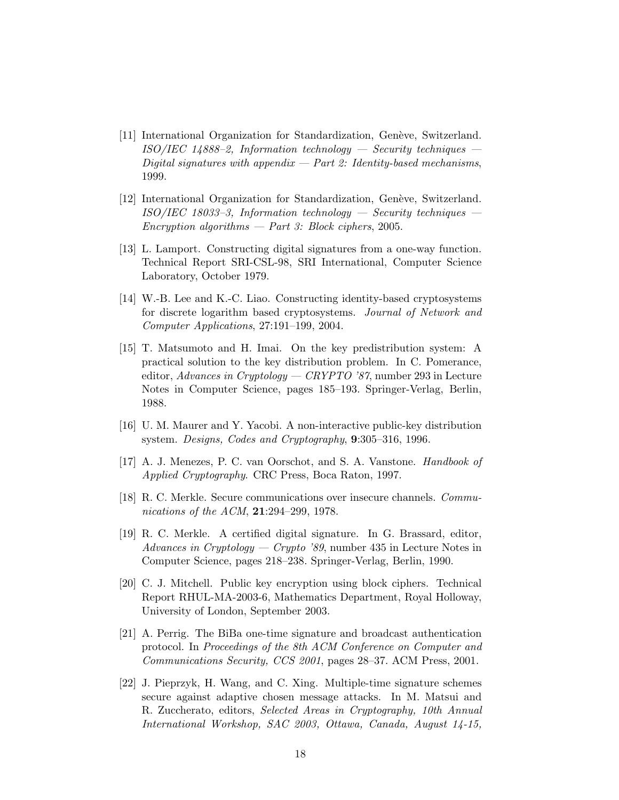- [11] International Organization for Standardization, Genève, Switzerland.  $ISO/IEC$  14888-2, Information technology — Security techniques Digital signatures with appendix  $-$  Part 2: Identity-based mechanisms, 1999.
- [12] International Organization for Standardization, Genève, Switzerland.  $ISO/IEC$  18033–3, Information technology — Security techniques — Encryption algorithms  $-$  Part 3: Block ciphers, 2005.
- [13] L. Lamport. Constructing digital signatures from a one-way function. Technical Report SRI-CSL-98, SRI International, Computer Science Laboratory, October 1979.
- [14] W.-B. Lee and K.-C. Liao. Constructing identity-based cryptosystems for discrete logarithm based cryptosystems. Journal of Network and Computer Applications, 27:191–199, 2004.
- [15] T. Matsumoto and H. Imai. On the key predistribution system: A practical solution to the key distribution problem. In C. Pomerance, editor, Advances in Cryptology — CRYPTO '87, number 293 in Lecture Notes in Computer Science, pages 185–193. Springer-Verlag, Berlin, 1988.
- [16] U. M. Maurer and Y. Yacobi. A non-interactive public-key distribution system. Designs, Codes and Cryptography, 9:305–316, 1996.
- [17] A. J. Menezes, P. C. van Oorschot, and S. A. Vanstone. Handbook of Applied Cryptography. CRC Press, Boca Raton, 1997.
- [18] R. C. Merkle. Secure communications over insecure channels. Communications of the ACM, **21**:294-299, 1978.
- [19] R. C. Merkle. A certified digital signature. In G. Brassard, editor, Advances in Cryptology — Crypto '89, number 435 in Lecture Notes in Computer Science, pages 218–238. Springer-Verlag, Berlin, 1990.
- [20] C. J. Mitchell. Public key encryption using block ciphers. Technical Report RHUL-MA-2003-6, Mathematics Department, Royal Holloway, University of London, September 2003.
- [21] A. Perrig. The BiBa one-time signature and broadcast authentication protocol. In Proceedings of the 8th ACM Conference on Computer and Communications Security, CCS 2001, pages 28–37. ACM Press, 2001.
- [22] J. Pieprzyk, H. Wang, and C. Xing. Multiple-time signature schemes secure against adaptive chosen message attacks. In M. Matsui and R. Zuccherato, editors, Selected Areas in Cryptography, 10th Annual International Workshop, SAC 2003, Ottawa, Canada, August 14-15,